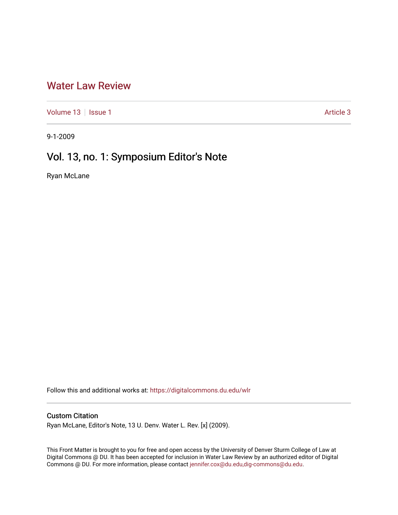## [Water Law Review](https://digitalcommons.du.edu/wlr)

[Volume 13](https://digitalcommons.du.edu/wlr/vol13) | [Issue 1](https://digitalcommons.du.edu/wlr/vol13/iss1) Article 3

9-1-2009

## Vol. 13, no. 1: Symposium Editor's Note

Ryan McLane

Follow this and additional works at: [https://digitalcommons.du.edu/wlr](https://digitalcommons.du.edu/wlr?utm_source=digitalcommons.du.edu%2Fwlr%2Fvol13%2Fiss1%2F3&utm_medium=PDF&utm_campaign=PDFCoverPages) 

## Custom Citation

Ryan McLane, Editor's Note, 13 U. Denv. Water L. Rev. [x] (2009).

This Front Matter is brought to you for free and open access by the University of Denver Sturm College of Law at Digital Commons @ DU. It has been accepted for inclusion in Water Law Review by an authorized editor of Digital Commons @ DU. For more information, please contact [jennifer.cox@du.edu,dig-commons@du.edu.](mailto:jennifer.cox@du.edu,dig-commons@du.edu)